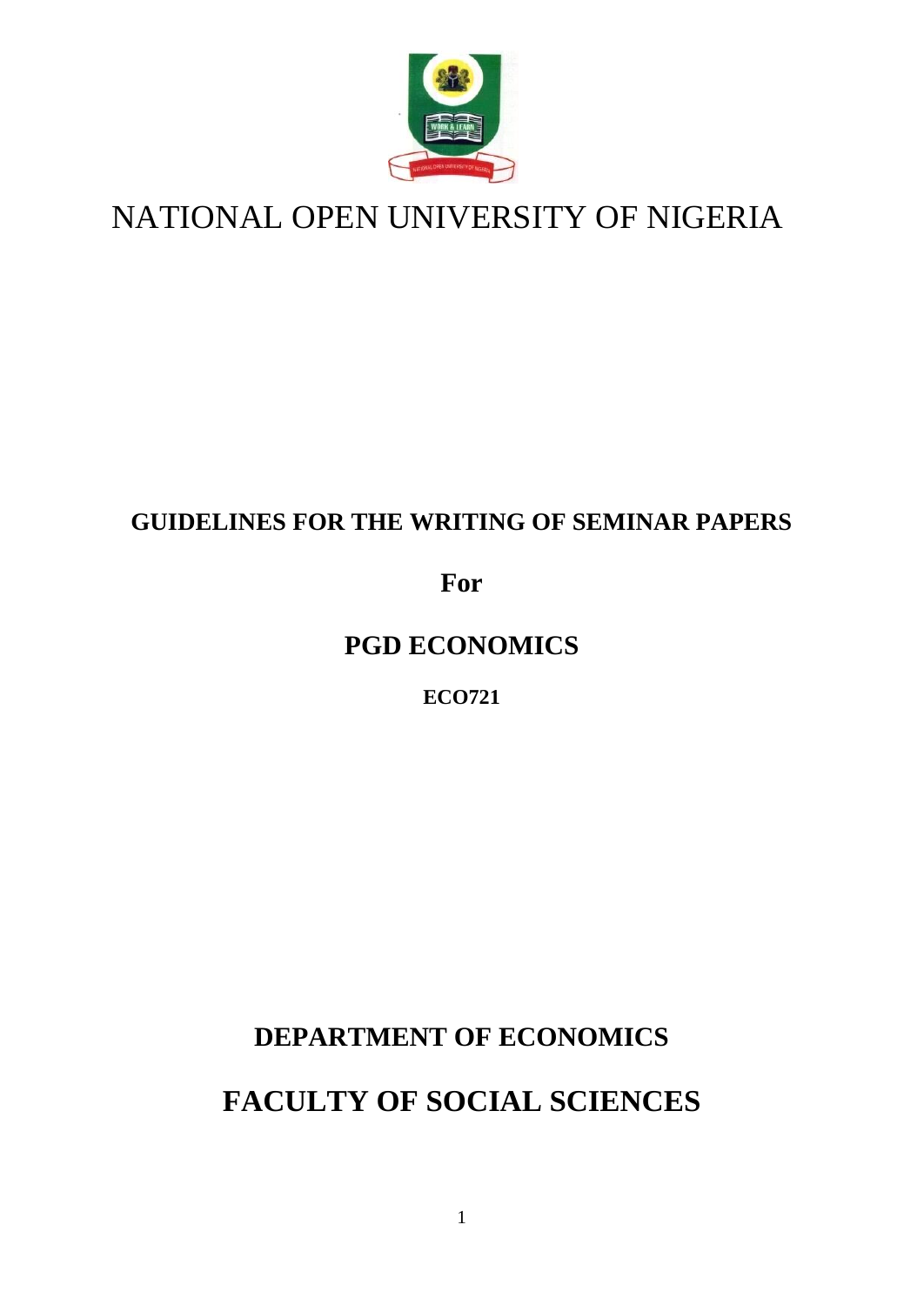

# NATIONAL OPEN UNIVERSITY OF NIGERIA

## **GUIDELINES FOR THE WRITING OF SEMINAR PAPERS**

### **For**

# **PGD ECONOMICS**

### **ECO721**

## **DEPARTMENT OF ECONOMICS**

# **FACULTY OF SOCIAL SCIENCES**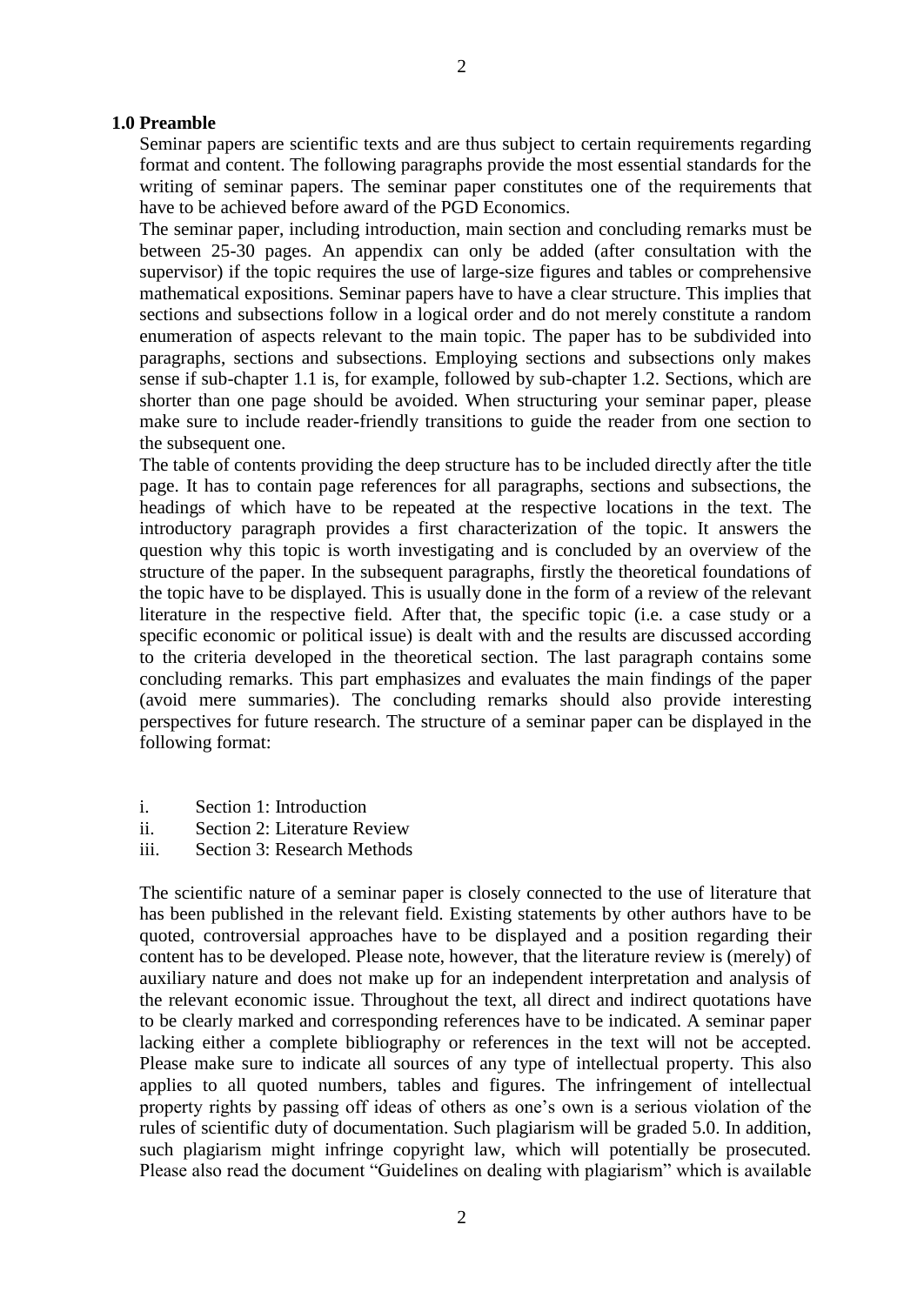#### **1.0 Preamble**

Seminar papers are scientific texts and are thus subject to certain requirements regarding format and content. The following paragraphs provide the most essential standards for the writing of seminar papers. The seminar paper constitutes one of the requirements that have to be achieved before award of the PGD Economics.

The seminar paper, including introduction, main section and concluding remarks must be between 25-30 pages. An appendix can only be added (after consultation with the supervisor) if the topic requires the use of large-size figures and tables or comprehensive mathematical expositions. Seminar papers have to have a clear structure. This implies that sections and subsections follow in a logical order and do not merely constitute a random enumeration of aspects relevant to the main topic. The paper has to be subdivided into paragraphs, sections and subsections. Employing sections and subsections only makes sense if sub-chapter 1.1 is, for example, followed by sub-chapter 1.2. Sections, which are shorter than one page should be avoided. When structuring your seminar paper, please make sure to include reader-friendly transitions to guide the reader from one section to the subsequent one.

The table of contents providing the deep structure has to be included directly after the title page. It has to contain page references for all paragraphs, sections and subsections, the headings of which have to be repeated at the respective locations in the text. The introductory paragraph provides a first characterization of the topic. It answers the question why this topic is worth investigating and is concluded by an overview of the structure of the paper. In the subsequent paragraphs, firstly the theoretical foundations of the topic have to be displayed. This is usually done in the form of a review of the relevant literature in the respective field. After that, the specific topic (i.e. a case study or a specific economic or political issue) is dealt with and the results are discussed according to the criteria developed in the theoretical section. The last paragraph contains some concluding remarks. This part emphasizes and evaluates the main findings of the paper (avoid mere summaries). The concluding remarks should also provide interesting perspectives for future research. The structure of a seminar paper can be displayed in the following format:

- i. Section 1: Introduction
- ii. Section 2: Literature Review
- iii. Section 3: Research Methods

The scientific nature of a seminar paper is closely connected to the use of literature that has been published in the relevant field. Existing statements by other authors have to be quoted, controversial approaches have to be displayed and a position regarding their content has to be developed. Please note, however, that the literature review is (merely) of auxiliary nature and does not make up for an independent interpretation and analysis of the relevant economic issue. Throughout the text, all direct and indirect quotations have to be clearly marked and corresponding references have to be indicated. A seminar paper lacking either a complete bibliography or references in the text will not be accepted. Please make sure to indicate all sources of any type of intellectual property. This also applies to all quoted numbers, tables and figures. The infringement of intellectual property rights by passing off ideas of others as one's own is a serious violation of the rules of scientific duty of documentation. Such plagiarism will be graded 5.0. In addition, such plagiarism might infringe copyright law, which will potentially be prosecuted. Please also read the document "Guidelines on dealing with plagiarism" which is available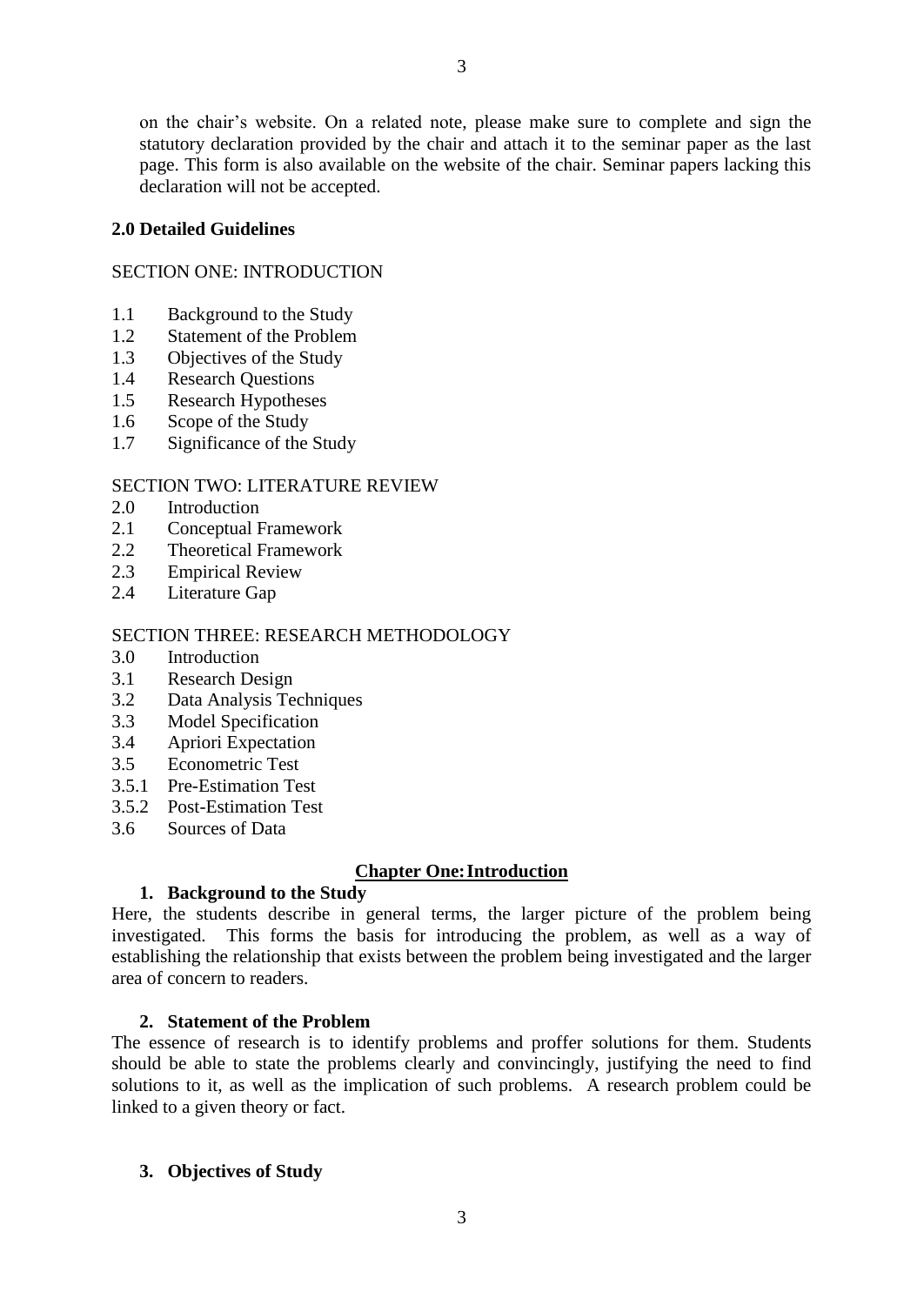on the chair's website. On a related note, please make sure to complete and sign the statutory declaration provided by the chair and attach it to the seminar paper as the last page. This form is also available on the website of the chair. Seminar papers lacking this declaration will not be accepted.

#### **2.0 Detailed Guidelines**

#### SECTION ONE: INTRODUCTION

- 1.1 Background to the Study
- 1.2 Statement of the Problem
- 1.3 Objectives of the Study
- 1.4 Research Questions
- 1.5 Research Hypotheses
- 1.6 Scope of the Study
- 1.7 Significance of the Study

#### SECTION TWO: LITERATURE REVIEW

- 2.0 Introduction
- 2.1 Conceptual Framework
- 2.2 Theoretical Framework
- 2.3 Empirical Review
- 2.4 Literature Gap

#### SECTION THREE: RESEARCH METHODOLOGY

- 3.0 Introduction
- 3.1 Research Design
- 3.2 Data Analysis Techniques
- 3.3 Model Specification
- 3.4 Apriori Expectation
- 3.5 Econometric Test
- 3.5.1 Pre-Estimation Test
- 3.5.2 Post-Estimation Test
- 3.6 Sources of Data

#### **Chapter One:Introduction**

#### **1. Background to the Study**

Here, the students describe in general terms, the larger picture of the problem being investigated. This forms the basis for introducing the problem, as well as a way of establishing the relationship that exists between the problem being investigated and the larger area of concern to readers.

#### **2. Statement of the Problem**

The essence of research is to identify problems and proffer solutions for them. Students should be able to state the problems clearly and convincingly, justifying the need to find solutions to it, as well as the implication of such problems. A research problem could be linked to a given theory or fact.

#### **3. Objectives of Study**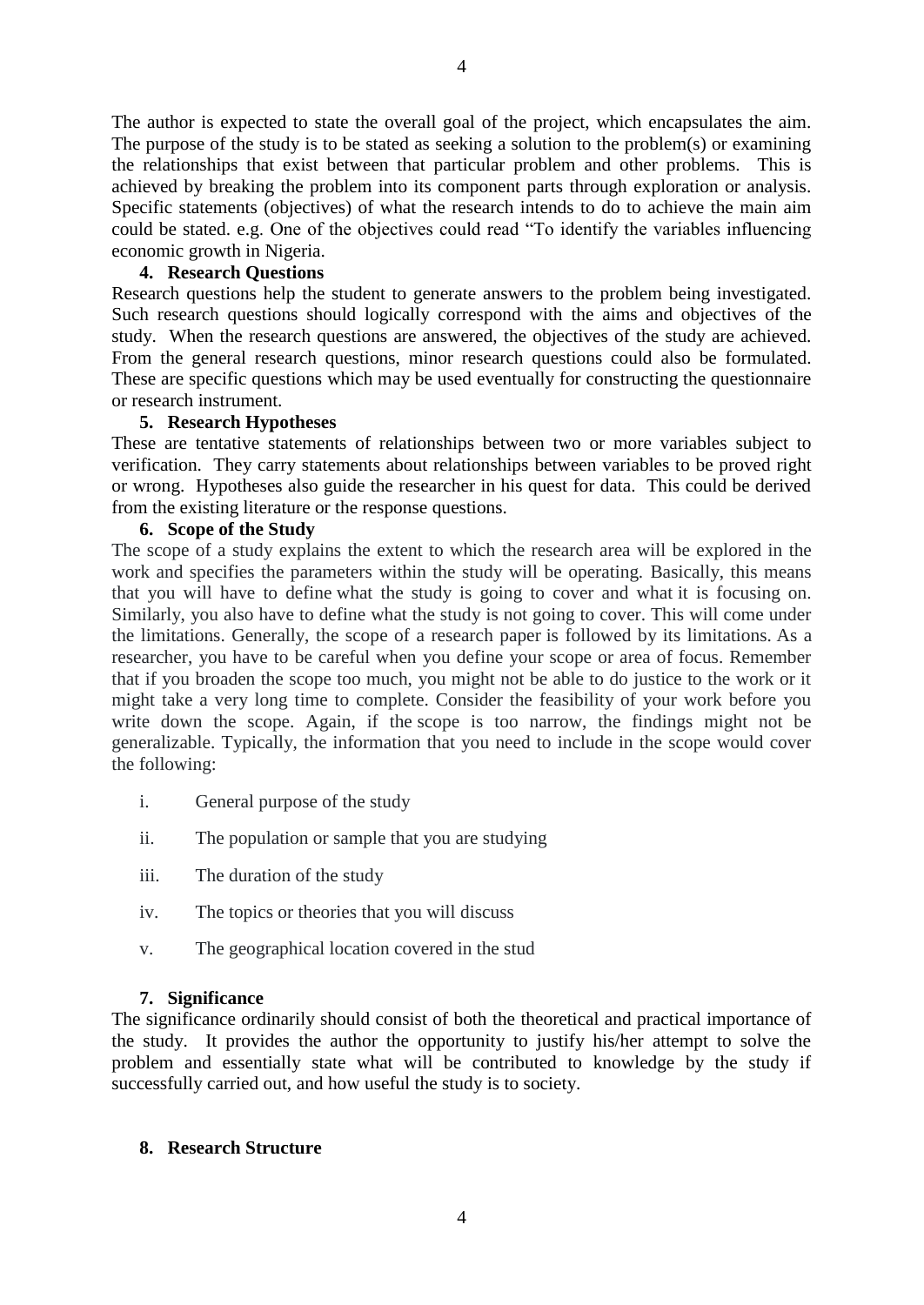The author is expected to state the overall goal of the project, which encapsulates the aim. The purpose of the study is to be stated as seeking a solution to the problem(s) or examining the relationships that exist between that particular problem and other problems. This is achieved by breaking the problem into its component parts through exploration or analysis. Specific statements (objectives) of what the research intends to do to achieve the main aim could be stated. e.g. One of the objectives could read "To identify the variables influencing economic growth in Nigeria.

#### **4. Research Questions**

Research questions help the student to generate answers to the problem being investigated. Such research questions should logically correspond with the aims and objectives of the study. When the research questions are answered, the objectives of the study are achieved. From the general research questions, minor research questions could also be formulated. These are specific questions which may be used eventually for constructing the questionnaire or research instrument.

#### **5. Research Hypotheses**

These are tentative statements of relationships between two or more variables subject to verification. They carry statements about relationships between variables to be proved right or wrong. Hypotheses also guide the researcher in his quest for data. This could be derived from the existing literature or the response questions.

#### **6. Scope of the Study**

The scope of a study explains the extent to which the research area will be explored in the work and specifies the parameters within the study will be operating. Basically, this means that you will have to define what the study is going to cover and what it is focusing on. Similarly, you also have to define what the study is not going to cover. This will come under the limitations. Generally, the scope of a research paper is followed by its limitations. As a researcher, you have to be careful when you define your scope or area of focus. Remember that if you broaden the scope too much, you might not be able to do justice to the work or it might take a very long time to complete. Consider the feasibility of your work before you write down the scope. Again, if the scope is too narrow, the findings might not be generalizable. Typically, the information that you need to include in the scope would cover the following:

- i. General purpose of the study
- ii. The population or sample that you are studying
- iii. The duration of the study
- iv. The topics or theories that you will discuss
- v. The geographical location covered in the stud

#### **7. Significance**

The significance ordinarily should consist of both the theoretical and practical importance of the study. It provides the author the opportunity to justify his/her attempt to solve the problem and essentially state what will be contributed to knowledge by the study if successfully carried out, and how useful the study is to society.

#### **8. Research Structure**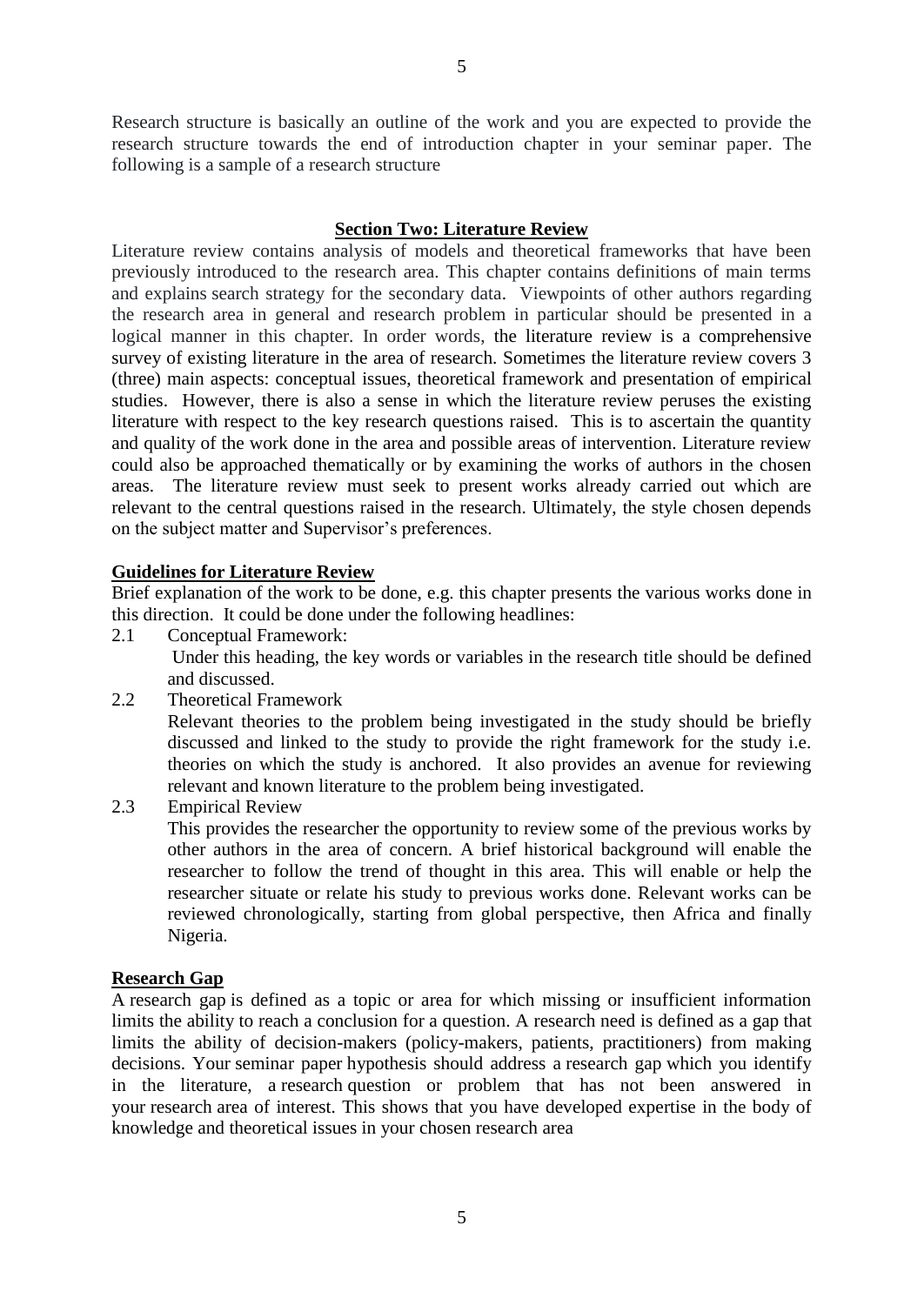Research structure is basically an outline of the work and you are expected to provide the research structure towards the end of introduction chapter in your seminar paper. The following is a sample of a research structure

#### **Section Two: Literature Review**

Literature review contains analysis of models and theoretical frameworks that have been previously introduced to the research area. This chapter contains definitions of main terms and explains search strategy for the secondary data. Viewpoints of other authors regarding the research area in general and research problem in particular should be presented in a logical manner in this chapter. In order words, the literature review is a comprehensive survey of existing literature in the area of research. Sometimes the literature review covers 3 (three) main aspects: conceptual issues, theoretical framework and presentation of empirical studies. However, there is also a sense in which the literature review peruses the existing literature with respect to the key research questions raised. This is to ascertain the quantity and quality of the work done in the area and possible areas of intervention. Literature review could also be approached thematically or by examining the works of authors in the chosen areas. The literature review must seek to present works already carried out which are relevant to the central questions raised in the research. Ultimately, the style chosen depends on the subject matter and Supervisor's preferences.

#### **Guidelines for Literature Review**

Brief explanation of the work to be done, e.g. this chapter presents the various works done in this direction. It could be done under the following headlines:

2.1 Conceptual Framework:

 Under this heading, the key words or variables in the research title should be defined and discussed.

2.2 Theoretical Framework

Relevant theories to the problem being investigated in the study should be briefly discussed and linked to the study to provide the right framework for the study i.e. theories on which the study is anchored. It also provides an avenue for reviewing relevant and known literature to the problem being investigated.

2.3 Empirical Review

This provides the researcher the opportunity to review some of the previous works by other authors in the area of concern. A brief historical background will enable the researcher to follow the trend of thought in this area. This will enable or help the researcher situate or relate his study to previous works done. Relevant works can be reviewed chronologically, starting from global perspective, then Africa and finally Nigeria.

#### **Research Gap**

A research gap is defined as a topic or area for which missing or insufficient information limits the ability to reach a conclusion for a question. A research need is defined as a gap that limits the ability of decision-makers (policy-makers, patients, practitioners) from making decisions. Your seminar paper hypothesis should address a research gap which you identify in the literature, a research question or problem that has not been answered in your research area of interest. This shows that you have developed expertise in the body of knowledge and theoretical issues in your chosen research area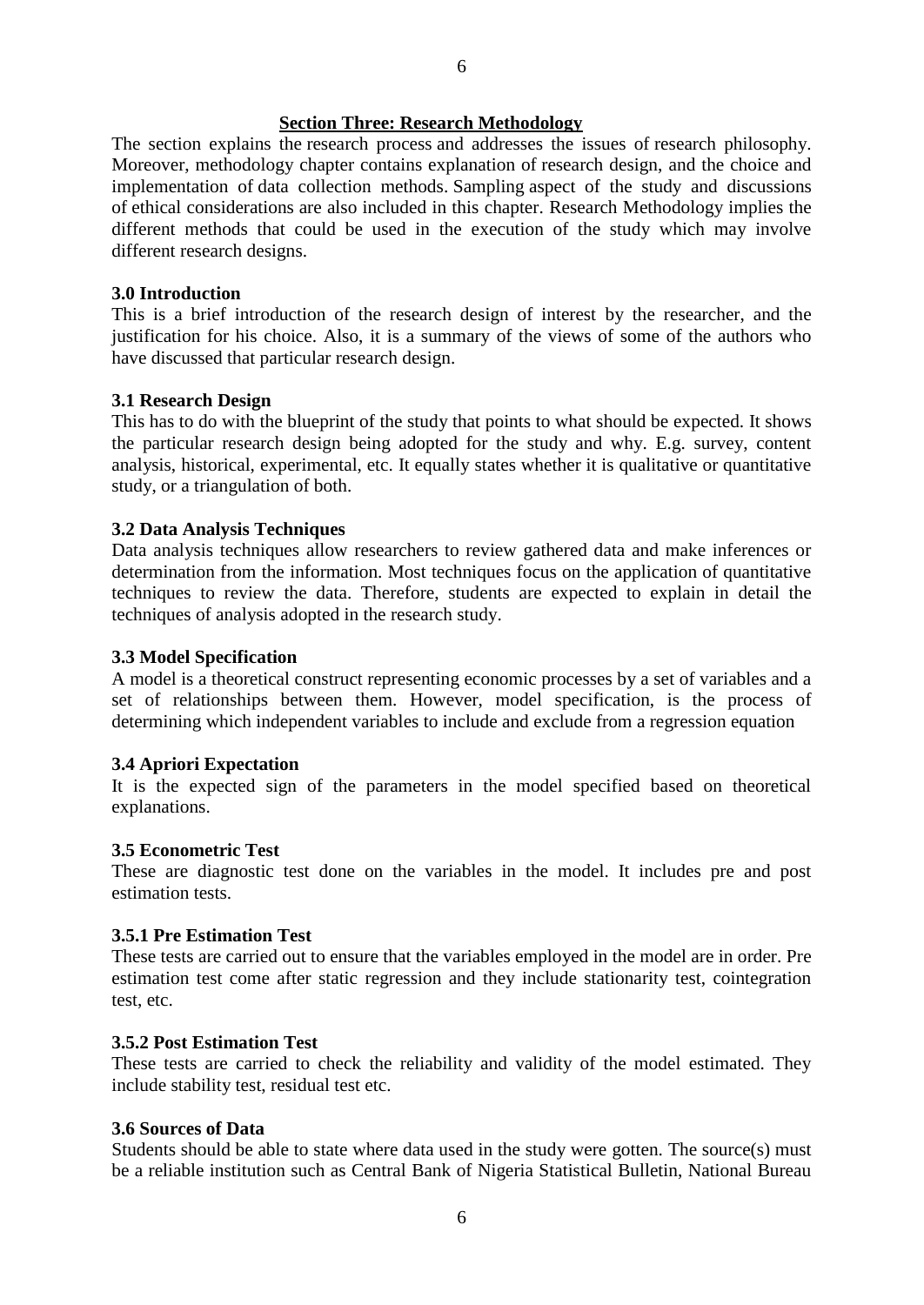#### **Section Three: Research Methodology**

The section explains the [research process](https://research-methodology.net/research-methodology/research-process/) and addresses the issues of [research philosophy.](https://research-methodology.net/research-philosophy/) Moreover, methodology chapter contains explanation of [research design,](https://research-methodology.net/research-methodology/research-design/) and the choice and implementation of [data collection methods.](https://research-methodology.net/research-methods/data-collection/) [Sampling](https://research-methodology.net/sampling-in-primary-data-collection/) aspect of the study and discussions of [ethical considerations](https://research-methodology.net/research-methodology/ethical-considerations/) are also included in this chapter. Research Methodology implies the different methods that could be used in the execution of the study which may involve different research designs.

#### **3.0 Introduction**

This is a brief introduction of the research design of interest by the researcher, and the justification for his choice. Also, it is a summary of the views of some of the authors who have discussed that particular research design.

#### **3.1 Research Design**

This has to do with the blueprint of the study that points to what should be expected. It shows the particular research design being adopted for the study and why. E.g. survey, content analysis, historical, experimental, etc. It equally states whether it is qualitative or quantitative study, or a triangulation of both.

#### **3.2 Data Analysis Techniques**

Data analysis techniques allow researchers to review gathered data and make inferences or determination from the information. Most techniques focus on the application of quantitative techniques to review the data. Therefore, students are expected to explain in detail the techniques of analysis adopted in the research study.

#### **3.3 Model Specification**

A model is a theoretical construct representing economic processes by a set of variables and a set of relationships between them. However, model specification, is the process of determining which independent variables to include and exclude from a regression equation

#### **3.4 Apriori Expectation**

It is the expected sign of the parameters in the model specified based on theoretical explanations.

#### **3.5 Econometric Test**

These are diagnostic test done on the variables in the model. It includes pre and post estimation tests.

#### **3.5.1 Pre Estimation Test**

These tests are carried out to ensure that the variables employed in the model are in order. Pre estimation test come after static regression and they include stationarity test, cointegration test, etc.

#### **3.5.2 Post Estimation Test**

These tests are carried to check the reliability and validity of the model estimated. They include stability test, residual test etc.

#### **3.6 Sources of Data**

Students should be able to state where data used in the study were gotten. The source(s) must be a reliable institution such as Central Bank of Nigeria Statistical Bulletin, National Bureau